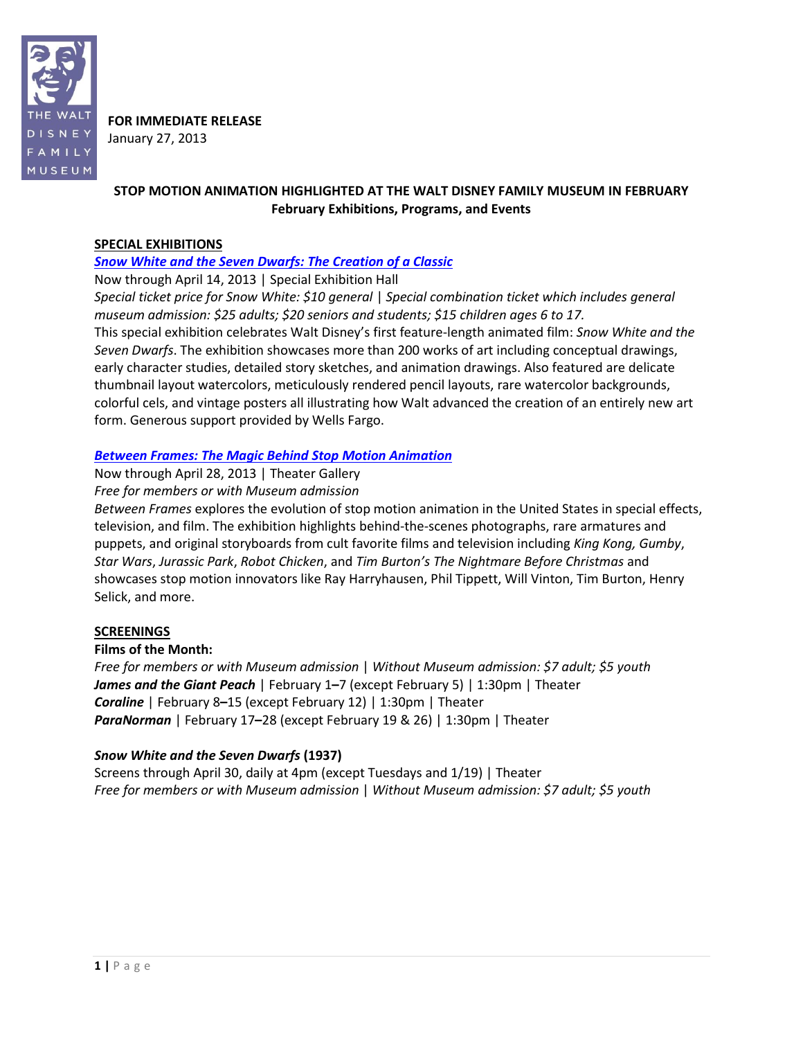

**FOR IMMEDIATE RELEASE** January 27, 2013

# **STOP MOTION ANIMATION HIGHLIGHTED AT THE WALT DISNEY FAMILY MUSEUM IN FEBRUARY February Exhibitions, Programs, and Events**

### **SPECIAL EXHIBITIONS**

### *[Snow White and the Seven Dwarfs: The Creation of a Classic](http://www.waltdisney.org/snow-white)*

Now through April 14, 2013 | Special Exhibition Hall

*Special ticket price for Snow White: \$10 general* | *Special combination ticket which includes general museum admission: \$25 adults; \$20 seniors and students; \$15 children ages 6 to 17.* This special exhibition celebrates Walt Disney's first feature-length animated film: *Snow White and the Seven Dwarfs*. The exhibition showcases more than 200 works of art including conceptual drawings, early character studies, detailed story sketches, and animation drawings. Also featured are delicate thumbnail layout watercolors, meticulously rendered pencil layouts, rare watercolor backgrounds, colorful cels, and vintage posters all illustrating how Walt advanced the creation of an entirely new art form. Generous support provided by Wells Fargo.

### *[Between Frames: The Magic Behind](http://www.waltdisney.org/between-frames) Stop Motion Animation*

Now through April 28, 2013 | Theater Gallery *Free for members or with Museum admission*

*Between Frames* explores the evolution of stop motion animation in the United States in special effects, television, and film. The exhibition highlights behind-the-scenes photographs, rare armatures and puppets, and original storyboards from cult favorite films and television including *King Kong, Gumby*, *Star Wars*, *Jurassic Park*, *Robot Chicken*, and *Tim Burton's The Nightmare Before Christmas* and showcases stop motion innovators like Ray Harryhausen, Phil Tippett, Will Vinton, Tim Burton, Henry Selick, and more.

### **SCREENINGS**

#### **Films of the Month:**

*Free for members or with Museum admission* | *Without Museum admission: \$7 adult; \$5 youth James and the Giant Peach* | February 1**–**7 (except February 5) | 1:30pm | Theater *Coraline* | February 8**–**15 (except February 12) | 1:30pm | Theater *ParaNorman* | February 17**–**28 (except February 19 & 26) | 1:30pm | Theater

### *Snow White and the Seven Dwarfs* **(1937)**

Screens through April 30, daily at 4pm (except Tuesdays and 1/19) | Theater *Free for members or with Museum admission* | *Without Museum admission: \$7 adult; \$5 youth*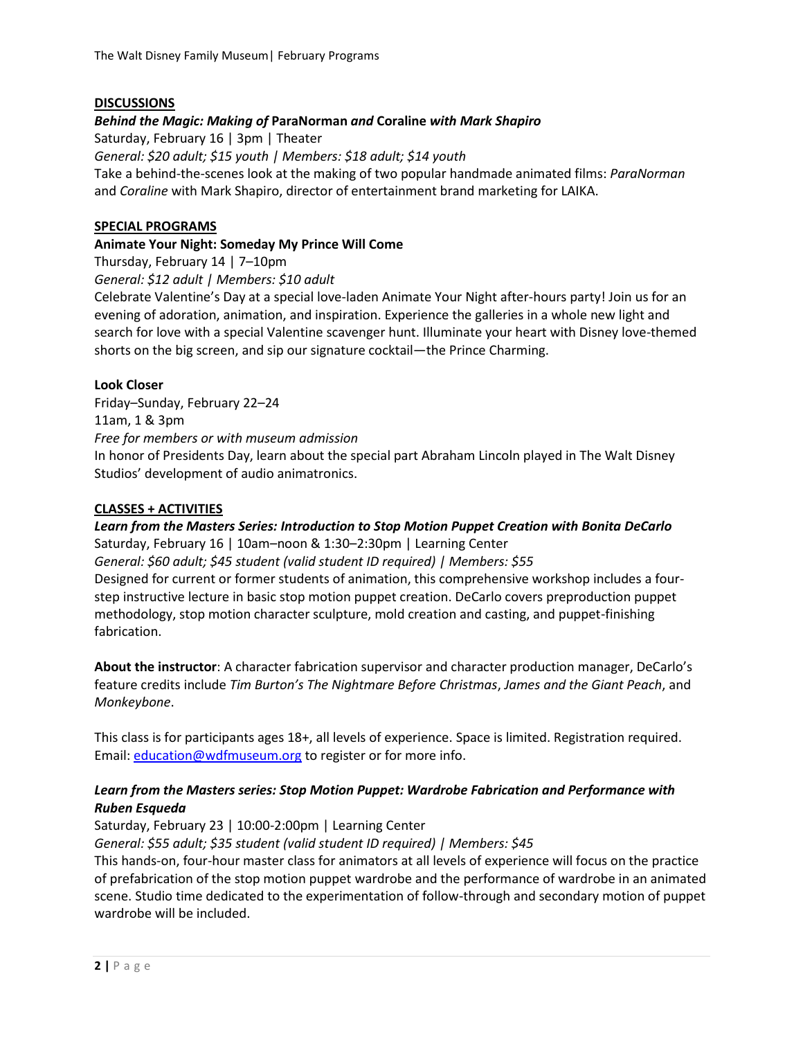### **DISCUSSIONS**

## *Behind the Magic: Making of* **ParaNorman** *and* **Coraline** *with Mark Shapiro*

Saturday, February 16 | 3pm | Theater *General: \$20 adult; \$15 youth | Members: \$18 adult; \$14 youth* Take a behind-the-scenes look at the making of two popular handmade animated films: *ParaNorman* and *Coraline* with Mark Shapiro, director of entertainment brand marketing for LAIKA.

#### **SPECIAL PROGRAMS**

#### **Animate Your Night: Someday My Prince Will Come**

Thursday, February 14 | 7–10pm

*General: \$12 adult | Members: \$10 adult*

Celebrate Valentine's Day at a special love-laden Animate Your Night after-hours party! Join us for an evening of adoration, animation, and inspiration. Experience the galleries in a whole new light and search for love with a special Valentine scavenger hunt. Illuminate your heart with Disney love-themed shorts on the big screen, and sip our signature cocktail—the Prince Charming.

### **Look Closer**

Friday–Sunday, February 22–24 11am, 1 & 3pm *Free for members or with museum admission* In honor of Presidents Day, learn about the special part Abraham Lincoln played in The Walt Disney Studios' development of audio animatronics.

#### **CLASSES + ACTIVITIES**

*Learn from the Masters Series: Introduction to Stop Motion Puppet Creation with Bonita DeCarlo* Saturday, February 16 | 10am–noon & 1:30–2:30pm | Learning Center *General: \$60 adult; \$45 student (valid student ID required) | Members: \$55* Designed for current or former students of animation, this comprehensive workshop includes a fourstep instructive lecture in basic stop motion puppet creation. DeCarlo covers preproduction puppet

methodology, stop motion character sculpture, mold creation and casting, and puppet-finishing fabrication.

**About the instructor**: A character fabrication supervisor and character production manager, DeCarlo's feature credits include *Tim Burton's The Nightmare Before Christmas*, *James and the Giant Peach*, and *Monkeybone*.

This class is for participants ages 18+, all levels of experience. Space is limited. Registration required. Email: [education@wdfmuseum.org](mailto:education@wdfmuseum.org) to register or for more info.

# *Learn from the Masters series: Stop Motion Puppet: Wardrobe Fabrication and Performance with Ruben Esqueda*

Saturday, February 23 | 10:00-2:00pm | Learning Center

*General: \$55 adult; \$35 student (valid student ID required) | Members: \$45*

This hands-on, four-hour master class for animators at all levels of experience will focus on the practice of prefabrication of the stop motion puppet wardrobe and the performance of wardrobe in an animated scene. Studio time dedicated to the experimentation of follow-through and secondary motion of puppet wardrobe will be included.